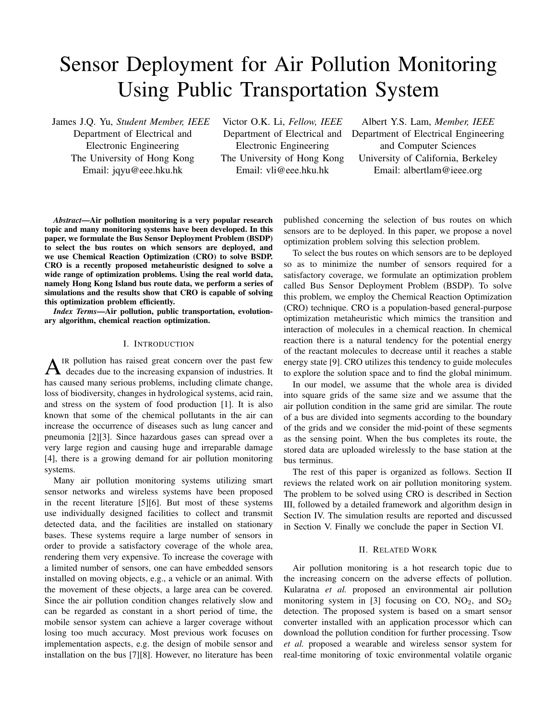# Sensor Deployment for Air Pollution Monitoring Using Public Transportation System

James J.Q. Yu, *Student Member, IEEE* Department of Electrical and Electronic Engineering The University of Hong Kong Email: jqyu@eee.hku.hk

Victor O.K. Li, *Fellow, IEEE* Department of Electrical and Electronic Engineering The University of Hong Kong Email: vli@eee.hku.hk

Albert Y.S. Lam, *Member, IEEE* Department of Electrical Engineering and Computer Sciences University of California, Berkeley Email: albertlam@ieee.org

*Abstract*—Air pollution monitoring is a very popular research topic and many monitoring systems have been developed. In this paper, we formulate the Bus Sensor Deployment Problem (BSDP) to select the bus routes on which sensors are deployed, and we use Chemical Reaction Optimization (CRO) to solve BSDP. CRO is a recently proposed metaheuristic designed to solve a wide range of optimization problems. Using the real world data, namely Hong Kong Island bus route data, we perform a series of simulations and the results show that CRO is capable of solving this optimization problem efficiently.

*Index Terms*—Air pollution, public transportation, evolutionary algorithm, chemical reaction optimization.

## I. INTRODUCTION

A IR pollution has raised great concern over the past few<br>decades due to the increasing expansion of industries. It IR pollution has raised great concern over the past few has caused many serious problems, including climate change, loss of biodiversity, changes in hydrological systems, acid rain, and stress on the system of food production [1]. It is also known that some of the chemical pollutants in the air can increase the occurrence of diseases such as lung cancer and pneumonia [2][3]. Since hazardous gases can spread over a very large region and causing huge and irreparable damage [4], there is a growing demand for air pollution monitoring systems.

Many air pollution monitoring systems utilizing smart sensor networks and wireless systems have been proposed in the recent literature [5][6]. But most of these systems use individually designed facilities to collect and transmit detected data, and the facilities are installed on stationary bases. These systems require a large number of sensors in order to provide a satisfactory coverage of the whole area, rendering them very expensive. To increase the coverage with a limited number of sensors, one can have embedded sensors installed on moving objects, e.g., a vehicle or an animal. With the movement of these objects, a large area can be covered. Since the air pollution condition changes relatively slow and can be regarded as constant in a short period of time, the mobile sensor system can achieve a larger coverage without losing too much accuracy. Most previous work focuses on implementation aspects, e.g. the design of mobile sensor and installation on the bus [7][8]. However, no literature has been

published concerning the selection of bus routes on which sensors are to be deployed. In this paper, we propose a novel optimization problem solving this selection problem.

To select the bus routes on which sensors are to be deployed so as to minimize the number of sensors required for a satisfactory coverage, we formulate an optimization problem called Bus Sensor Deployment Problem (BSDP). To solve this problem, we employ the Chemical Reaction Optimization (CRO) technique. CRO is a population-based general-purpose optimization metaheuristic which mimics the transition and interaction of molecules in a chemical reaction. In chemical reaction there is a natural tendency for the potential energy of the reactant molecules to decrease until it reaches a stable energy state [9]. CRO utilizes this tendency to guide molecules to explore the solution space and to find the global minimum.

In our model, we assume that the whole area is divided into square grids of the same size and we assume that the air pollution condition in the same grid are similar. The route of a bus are divided into segments according to the boundary of the grids and we consider the mid-point of these segments as the sensing point. When the bus completes its route, the stored data are uploaded wirelessly to the base station at the bus terminus.

The rest of this paper is organized as follows. Section II reviews the related work on air pollution monitoring system. The problem to be solved using CRO is described in Section III, followed by a detailed framework and algorithm design in Section IV. The simulation results are reported and discussed in Section V. Finally we conclude the paper in Section VI.

# II. RELATED WORK

Air pollution monitoring is a hot research topic due to the increasing concern on the adverse effects of pollution. Kularatna *et al.* proposed an environmental air pollution monitoring system in [3] focusing on CO,  $NO<sub>2</sub>$ , and  $SO<sub>2</sub>$ detection. The proposed system is based on a smart sensor converter installed with an application processor which can download the pollution condition for further processing. Tsow *et al.* proposed a wearable and wireless sensor system for real-time monitoring of toxic environmental volatile organic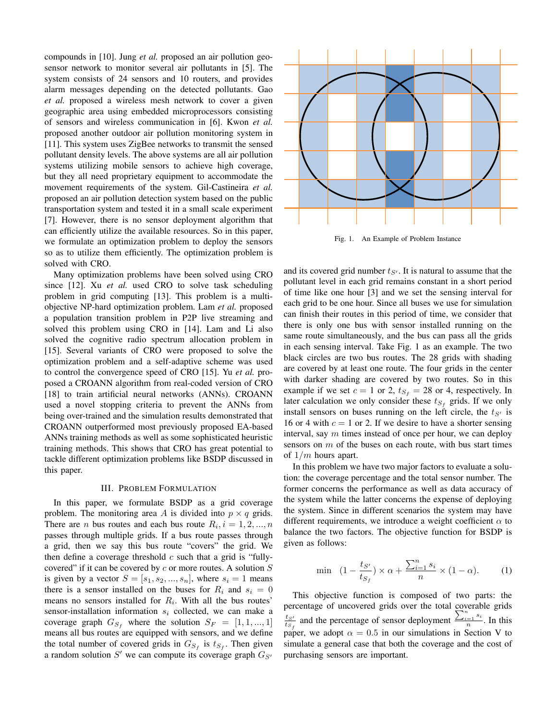compounds in [10]. Jung *et al.* proposed an air pollution geosensor network to monitor several air pollutants in [5]. The system consists of 24 sensors and 10 routers, and provides alarm messages depending on the detected pollutants. Gao *et al.* proposed a wireless mesh network to cover a given geographic area using embedded microprocessors consisting of sensors and wireless communication in [6]. Kwon *et al.* proposed another outdoor air pollution monitoring system in [11]. This system uses ZigBee networks to transmit the sensed pollutant density levels. The above systems are all air pollution systems utilizing mobile sensors to achieve high coverage, but they all need proprietary equipment to accommodate the movement requirements of the system. Gil-Castineira *et al.* proposed an air pollution detection system based on the public transportation system and tested it in a small scale experiment [7]. However, there is no sensor deployment algorithm that can efficiently utilize the available resources. So in this paper, we formulate an optimization problem to deploy the sensors so as to utilize them efficiently. The optimization problem is solved with CRO.

Many optimization problems have been solved using CRO since [12]. Xu *et al.* used CRO to solve task scheduling problem in grid computing [13]. This problem is a multiobjective NP-hard optimization problem. Lam *et al.* proposed a population transition problem in P2P live streaming and solved this problem using CRO in [14]. Lam and Li also solved the cognitive radio spectrum allocation problem in [15]. Several variants of CRO were proposed to solve the optimization problem and a self-adaptive scheme was used to control the convergence speed of CRO [15]. Yu *et al.* proposed a CROANN algorithm from real-coded version of CRO [18] to train artificial neural networks (ANNs). CROANN used a novel stopping criteria to prevent the ANNs from being over-trained and the simulation results demonstrated that CROANN outperformed most previously proposed EA-based ANNs training methods as well as some sophisticated heuristic training methods. This shows that CRO has great potential to tackle different optimization problems like BSDP discussed in this paper.

#### III. PROBLEM FORMULATION

In this paper, we formulate BSDP as a grid coverage problem. The monitoring area A is divided into  $p \times q$  grids. There are *n* bus routes and each bus route  $R_i$ ,  $i = 1, 2, ..., n$ passes through multiple grids. If a bus route passes through a grid, then we say this bus route "covers" the grid. We then define a coverage threshold  $c$  such that a grid is "fullycovered" if it can be covered by  $c$  or more routes. A solution  $S$ is given by a vector  $S = [s_1, s_2, ..., s_n]$ , where  $s_i = 1$  means there is a sensor installed on the buses for  $R_i$  and  $s_i = 0$ means no sensors installed for  $R_i$ . With all the bus routes' sensor-installation information  $s_i$  collected, we can make a coverage graph  $G_{S_f}$  where the solution  $S_F = [1, 1, ..., 1]$ means all bus routes are equipped with sensors, and we define the total number of covered grids in  $G_{S_f}$  is  $t_{S_f}$ . Then given a random solution S' we can compute its coverage graph  $G_{S}$ 



Fig. 1. An Example of Problem Instance

and its covered grid number  $t_{S'}$ . It is natural to assume that the pollutant level in each grid remains constant in a short period of time like one hour [3] and we set the sensing interval for each grid to be one hour. Since all buses we use for simulation can finish their routes in this period of time, we consider that there is only one bus with sensor installed running on the same route simultaneously, and the bus can pass all the grids in each sensing interval. Take Fig. 1 as an example. The two black circles are two bus routes. The 28 grids with shading are covered by at least one route. The four grids in the center with darker shading are covered by two routes. So in this example if we set  $c = 1$  or 2,  $t_{S_f} = 28$  or 4, respectively. In later calculation we only consider these  $t_{S_f}$  grids. If we only install sensors on buses running on the left circle, the  $t_{S'}$  is 16 or 4 with  $c = 1$  or 2. If we desire to have a shorter sensing interval, say  $m$  times instead of once per hour, we can deploy sensors on  $m$  of the buses on each route, with bus start times of  $1/m$  hours apart.

In this problem we have two major factors to evaluate a solution: the coverage percentage and the total sensor number. The former concerns the performance as well as data accuracy of the system while the latter concerns the expense of deploying the system. Since in different scenarios the system may have different requirements, we introduce a weight coefficient  $\alpha$  to balance the two factors. The objective function for BSDP is given as follows:

$$
\min \quad (1 - \frac{t_{S'}}{t_{S_f}}) \times \alpha + \frac{\sum_{i=1}^n s_i}{n} \times (1 - \alpha). \tag{1}
$$

This objective function is composed of two parts: the percentage of uncovered grids over the total coverable grids  $t_{S}$  $\frac{t_{S'}}{t_{S_f}}$  and the percentage of sensor deployment  $\frac{\sum_{i=1}^{n} s_i}{n}$  $\frac{1}{n}$ . In this paper, we adopt  $\alpha = 0.5$  in our simulations in Section V to simulate a general case that both the coverage and the cost of purchasing sensors are important.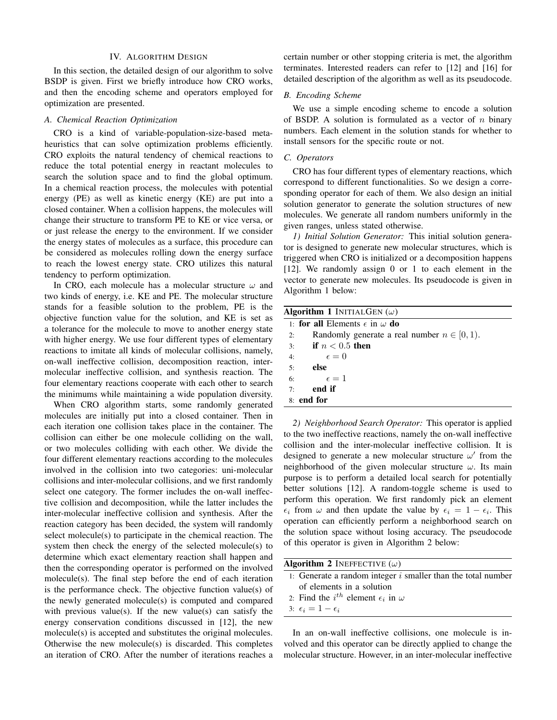#### IV. ALGORITHM DESIGN

In this section, the detailed design of our algorithm to solve BSDP is given. First we briefly introduce how CRO works, and then the encoding scheme and operators employed for optimization are presented.

# *A. Chemical Reaction Optimization*

CRO is a kind of variable-population-size-based metaheuristics that can solve optimization problems efficiently. CRO exploits the natural tendency of chemical reactions to reduce the total potential energy in reactant molecules to search the solution space and to find the global optimum. In a chemical reaction process, the molecules with potential energy (PE) as well as kinetic energy (KE) are put into a closed container. When a collision happens, the molecules will change their structure to transform PE to KE or vice versa, or or just release the energy to the environment. If we consider the energy states of molecules as a surface, this procedure can be considered as molecules rolling down the energy surface to reach the lowest energy state. CRO utilizes this natural tendency to perform optimization.

In CRO, each molecule has a molecular structure  $\omega$  and two kinds of energy, i.e. KE and PE. The molecular structure stands for a feasible solution to the problem, PE is the objective function value for the solution, and KE is set as a tolerance for the molecule to move to another energy state with higher energy. We use four different types of elementary reactions to imitate all kinds of molecular collisions, namely, on-wall ineffective collision, decomposition reaction, intermolecular ineffective collision, and synthesis reaction. The four elementary reactions cooperate with each other to search the minimums while maintaining a wide population diversity.

When CRO algorithm starts, some randomly generated molecules are initially put into a closed container. Then in each iteration one collision takes place in the container. The collision can either be one molecule colliding on the wall, or two molecules colliding with each other. We divide the four different elementary reactions according to the molecules involved in the collision into two categories: uni-molecular collisions and inter-molecular collisions, and we first randomly select one category. The former includes the on-wall ineffective collision and decomposition, while the latter includes the inter-molecular ineffective collision and synthesis. After the reaction category has been decided, the system will randomly select molecule(s) to participate in the chemical reaction. The system then check the energy of the selected molecule(s) to determine which exact elementary reaction shall happen and then the corresponding operator is performed on the involved molecule(s). The final step before the end of each iteration is the performance check. The objective function value(s) of the newly generated molecule(s) is computed and compared with previous value(s). If the new value(s) can satisfy the energy conservation conditions discussed in [12], the new molecule(s) is accepted and substitutes the original molecules. Otherwise the new molecule(s) is discarded. This completes an iteration of CRO. After the number of iterations reaches a

certain number or other stopping criteria is met, the algorithm terminates. Interested readers can refer to [12] and [16] for detailed description of the algorithm as well as its pseudocode.

#### *B. Encoding Scheme*

We use a simple encoding scheme to encode a solution of BSDP. A solution is formulated as a vector of  $n$  binary numbers. Each element in the solution stands for whether to install sensors for the specific route or not.

#### *C. Operators*

CRO has four different types of elementary reactions, which correspond to different functionalities. So we design a corresponding operator for each of them. We also design an initial solution generator to generate the solution structures of new molecules. We generate all random numbers uniformly in the given ranges, unless stated otherwise.

*1) Initial Solution Generator:* This initial solution generator is designed to generate new molecular structures, which is triggered when CRO is initialized or a decomposition happens [12]. We randomly assign 0 or 1 to each element in the vector to generate new molecules. Its pseudocode is given in Algorithm 1 below:

|    | <b>Algorithm 1</b> INITIALGEN $(\omega)$         |  |  |  |  |  |  |
|----|--------------------------------------------------|--|--|--|--|--|--|
|    | 1: for all Elements $\epsilon$ in $\omega$ do    |  |  |  |  |  |  |
| 2: | Randomly generate a real number $n \in [0, 1)$ . |  |  |  |  |  |  |
|    | 3: if $n < 0.5$ then                             |  |  |  |  |  |  |
| 4: | $\epsilon = 0$                                   |  |  |  |  |  |  |
| 5: | else                                             |  |  |  |  |  |  |
| 6: | $\epsilon = 1$                                   |  |  |  |  |  |  |
| 7: | end if                                           |  |  |  |  |  |  |
|    | 8: end for                                       |  |  |  |  |  |  |

*2) Neighborhood Search Operator:* This operator is applied to the two ineffective reactions, namely the on-wall ineffective collision and the inter-molecular ineffective collision. It is designed to generate a new molecular structure  $\omega'$  from the neighborhood of the given molecular structure  $\omega$ . Its main purpose is to perform a detailed local search for potentially better solutions [12]. A random-toggle scheme is used to perform this operation. We first randomly pick an element  $\epsilon_i$  from  $\omega$  and then update the value by  $\epsilon_i = 1 - \epsilon_i$ . This operation can efficiently perform a neighborhood search on the solution space without losing accuracy. The pseudocode of this operator is given in Algorithm 2 below:

| Algorithm 2 INEFFECTIVE $(\omega)$                             |  |  |  |  |  |
|----------------------------------------------------------------|--|--|--|--|--|
| 1: Generate a random integer $i$ smaller than the total number |  |  |  |  |  |
| of elements in a solution                                      |  |  |  |  |  |
| 2: Find the $i^{th}$ element $\epsilon_i$ in $\omega$          |  |  |  |  |  |
| 3: $\epsilon_i = 1 - \epsilon_i$                               |  |  |  |  |  |

In an on-wall ineffective collisions, one molecule is involved and this operator can be directly applied to change the molecular structure. However, in an inter-molecular ineffective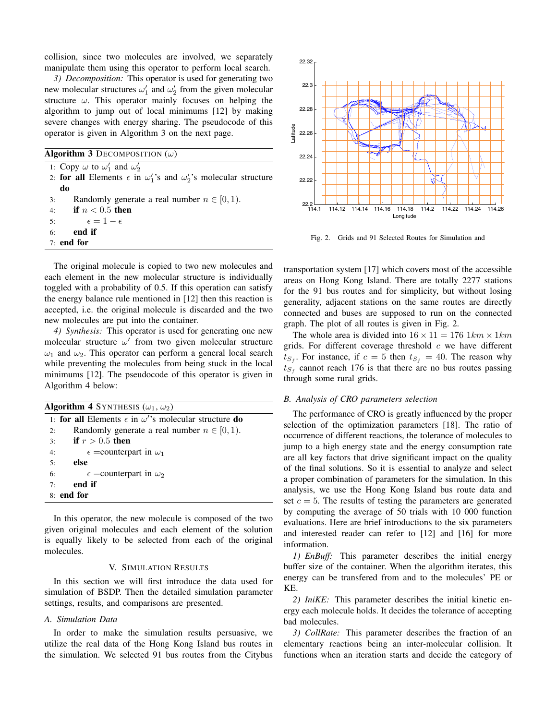collision, since two molecules are involved, we separately manipulate them using this operator to perform local search.

*3) Decomposition:* This operator is used for generating two new molecular structures  $\omega'_1$  and  $\omega'_2$  from the given molecular structure  $\omega$ . This operator mainly focuses on helping the algorithm to jump out of local minimums [12] by making severe changes with energy sharing. The pseudocode of this operator is given in Algorithm 3 on the next page.

Algorithm 3 DECOMPOSITION  $(\omega)$ 

1: Copy  $\omega$  to  $\omega'_1$  and  $\omega'_2$ 

- 2: for all Elements  $\epsilon$  in  $\omega'_1$ 's and  $\omega'_2$ 's molecular structure do
- 3: Randomly generate a real number  $n \in [0, 1)$ .
- 4: if  $n < 0.5$  then
- 5:  $\epsilon = 1 \epsilon$
- 6: end if
- 7: end for

The original molecule is copied to two new molecules and each element in the new molecular structure is individually toggled with a probability of 0.5. If this operation can satisfy the energy balance rule mentioned in [12] then this reaction is accepted, i.e. the original molecule is discarded and the two new molecules are put into the container.

*4) Synthesis:* This operator is used for generating one new molecular structure  $\omega'$  from two given molecular structure  $\omega_1$  and  $\omega_2$ . This operator can perform a general local search while preventing the molecules from being stuck in the local minimums [12]. The pseudocode of this operator is given in Algorithm 4 below:

|    | <b>Algorithm 4</b> SYNTHESIS $(\omega_1, \omega_2)$                  |  |  |  |  |  |
|----|----------------------------------------------------------------------|--|--|--|--|--|
|    | 1: for all Elements $\epsilon$ in $\omega$ 's molecular structure do |  |  |  |  |  |
| 2: | Randomly generate a real number $n \in [0, 1)$ .                     |  |  |  |  |  |
| 3: | if $r > 0.5$ then                                                    |  |  |  |  |  |
| 4: | $\epsilon$ = counterpart in $\omega_1$                               |  |  |  |  |  |
| 5: | else                                                                 |  |  |  |  |  |
| 6: | $\epsilon$ = counterpart in $\omega_2$                               |  |  |  |  |  |
| 7: | end if                                                               |  |  |  |  |  |
|    | $8:$ end for                                                         |  |  |  |  |  |

In this operator, the new molecule is composed of the two given original molecules and each element of the solution is equally likely to be selected from each of the original molecules.

#### V. SIMULATION RESULTS

In this section we will first introduce the data used for simulation of BSDP. Then the detailed simulation parameter settings, results, and comparisons are presented.

# *A. Simulation Data*

In order to make the simulation results persuasive, we utilize the real data of the Hong Kong Island bus routes in the simulation. We selected 91 bus routes from the Citybus



Fig. 2. Grids and 91 Selected Routes for Simulation and

transportation system [17] which covers most of the accessible areas on Hong Kong Island. There are totally 2277 stations for the 91 bus routes and for simplicity, but without losing generality, adjacent stations on the same routes are directly connected and buses are supposed to run on the connected graph. The plot of all routes is given in Fig. 2.

The whole area is divided into  $16 \times 11 = 176$   $1km \times 1km$ grids. For different coverage threshold  $c$  we have different  $t_{S_f}$ . For instance, if  $c = 5$  then  $t_{S_f} = 40$ . The reason why  $t_{S_f}$  cannot reach 176 is that there are no bus routes passing through some rural grids.

## *B. Analysis of CRO parameters selection*

The performance of CRO is greatly influenced by the proper selection of the optimization parameters [18]. The ratio of occurrence of different reactions, the tolerance of molecules to jump to a high energy state and the energy consumption rate are all key factors that drive significant impact on the quality of the final solutions. So it is essential to analyze and select a proper combination of parameters for the simulation. In this analysis, we use the Hong Kong Island bus route data and set  $c = 5$ . The results of testing the parameters are generated by computing the average of 50 trials with 10 000 function evaluations. Here are brief introductions to the six parameters and interested reader can refer to [12] and [16] for more information.

*1) EnBuff:* This parameter describes the initial energy buffer size of the container. When the algorithm iterates, this energy can be transfered from and to the molecules' PE or KE.

*2) IniKE:* This parameter describes the initial kinetic energy each molecule holds. It decides the tolerance of accepting bad molecules.

*3) CollRate:* This parameter describes the fraction of an elementary reactions being an inter-molecular collision. It functions when an iteration starts and decide the category of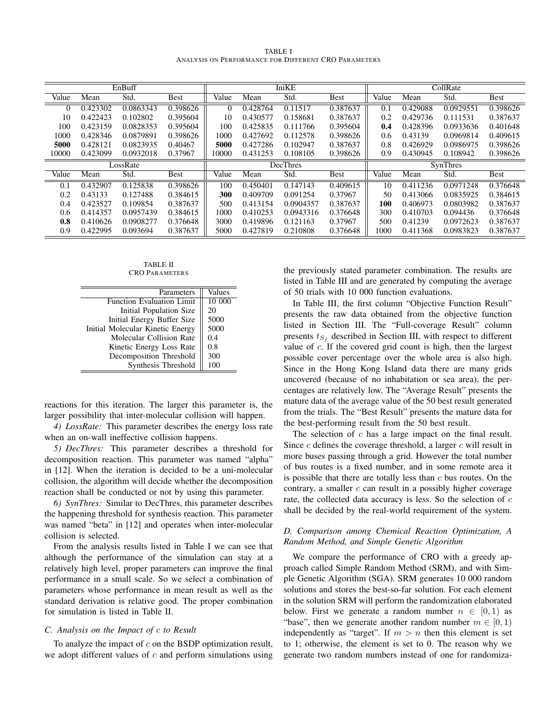TABLE I ANALYSIS ON PERFORMANCE FOR DIFFERENT CRO PARAMETERS

| EnBuff   |          |           |             | <b>IniKE</b>    |          |           |             | CollRate |          |           |             |
|----------|----------|-----------|-------------|-----------------|----------|-----------|-------------|----------|----------|-----------|-------------|
| Value    | Mean     | Std.      | <b>Best</b> | Value           | Mean     | Std.      | <b>Best</b> | Value    | Mean     | Std.      | <b>Best</b> |
| $\theta$ | 0.423302 | 0.0863343 | 0.398626    | $\Omega$        | 0.428764 | 0.11517   | 0.387637    | 0.1      | 0.429088 | 0.0929551 | 0.398626    |
| 10       | 0.422423 | 0.102802  | 0.395604    | 10              | 0.430577 | 0.158681  | 0.387637    | 0.2      | 0.429736 | 0.111531  | 0.387637    |
| 100      | 0.423159 | 0.0828353 | 0.395604    | 100             | 0.425835 | 0.111766  | 0.395604    | 0.4      | 0.428396 | 0.0933636 | 0.401648    |
| 1000     | 0.428346 | 0.0879891 | 0.398626    | 1000            | 0.427692 | 0.112578  | 0.398626    | 0.6      | 0.43139  | 0.0969814 | 0.409615    |
| 5000     | 0.428121 | 0.0823935 | 0.40467     | 5000            | 0.427286 | 0.102947  | 0.387637    | 0.8      | 0.426929 | 0.0986975 | 0.398626    |
| 10000    | 0.423099 | 0.0932018 | 0.37967     | 10000           | 0.431253 | 0.108105  | 0.398626    | 0.9      | 0.430945 | 0.108942  | 0.398626    |
| LossRate |          |           |             | <b>DecThres</b> |          |           |             | SynThres |          |           |             |
| Value    | Mean     | Std.      | <b>Best</b> | Value           | Mean     | Std.      | <b>Best</b> | Value    | Mean     | Std.      | <b>Best</b> |
| 0.1      | 0.432907 | 0.125838  | 0.398626    | 100             | 0.450401 | 0.147143  | 0.409615    | 10       | 0.411236 | 0.0971248 | 0.376648    |
| 0.2      | 0.43133  | 0.127488  | 0.384615    | 300             | 0.409709 | 0.091254  | 0.37967     | 50       | 0.413066 | 0.0835925 | 0.384615    |
| 0.4      | 0.423527 | 0.109854  | 0.387637    | 500             | 0.413154 | 0.0904357 | 0.387637    | 100      | 0.406973 | 0.0803982 | 0.387637    |
| 0.6      | 0.414357 | 0.0957439 | 0.384615    | 1000            | 0.410253 | 0.0943316 | 0.376648    | 300      | 0.410703 | 0.094436  | 0.376648    |
| 0.8      | 0.410626 | 0.0908277 | 0.376648    | 3000            | 0.419896 | 0.121163  | 0.37967     | 500      | 0.41239  | 0.0972623 | 0.387637    |
| 0.9      | 0.422995 | 0.093694  | 0.387637    | 5000            | 0.427819 | 0.210808  | 0.376648    | 1000     | 0.411368 | 0.0983823 | 0.387637    |

TABLE II CRO PARAMETERS

| Parameters                       | Values |
|----------------------------------|--------|
| Function Evaluation Limit        | 10 000 |
| Initial Population Size          | 20     |
| Initial Energy Buffer Size       | 5000   |
| Initial Molecular Kinetic Energy | 5000   |
| Molecular Collision Rate         | 0.4    |
| Kinetic Energy Loss Rate         | 0.8    |
| Decomposition Threshold          | 300    |
| Synthesis Threshold              | 100    |

reactions for this iteration. The larger this parameter is, the larger possibility that inter-molecular collision will happen.

*4) LossRate:* This parameter describes the energy loss rate when an on-wall ineffective collision happens.

*5) DecThres:* This parameter describes a threshold for decomposition reaction. This parameter was named "alpha" in [12]. When the iteration is decided to be a uni-molecular collision, the algorithm will decide whether the decomposition reaction shall be conducted or not by using this parameter.

*6) SynThres:* Similar to DecThres, this parameter describes the happening threshold for synthesis reaction. This parameter was named "beta" in [12] and operates when inter-molecular collision is selected.

From the analysis results listed in Table I we can see that although the performance of the simulation can stay at a relatively high level, proper parameters can improve the final performance in a small scale. So we select a combination of parameters whose performance in mean result as well as the standard derivation is relative good. The proper combination for simulation is listed in Table II.

# *C. Analysis on the Impact of* c *to Result*

To analyze the impact of  $c$  on the BSDP optimization result, we adopt different values of  $c$  and perform simulations using the previously stated parameter combination. The results are listed in Table III and are generated by computing the average of 50 trials with 10 000 function evaluations.

In Table III, the first column "Objective Function Result" presents the raw data obtained from the objective function listed in Section III. The "Full-coverage Result" column presents  $t_{S_f}$  described in Section III, with respect to different value of c. If the covered grid count is high, then the largest possible cover percentage over the whole area is also high. Since in the Hong Kong Island data there are many grids uncovered (because of no inhabitation or sea area), the percentages are relatively low. The "Average Result" presents the mature data of the average value of the 50 best result generated from the trials. The "Best Result" presents the mature data for the best-performing result from the 50 best result.

The selection of c has a large impact on the final result. Since  $c$  defines the coverage threshold, a larger  $c$  will result in more buses passing through a grid. However the total number of bus routes is a fixed number, and in some remote area it is possible that there are totally less than  $c$  bus routes. On the contrary, a smaller  $c$  can result in a possibly higher coverage rate, the collected data accuracy is less. So the selection of c shall be decided by the real-world requirement of the system.

# *D. Comparison among Chemical Reaction Optimization, A Random Method, and Simple Genetic Algorithm*

We compare the performance of CRO with a greedy approach called Simple Random Method (SRM), and with Simple Genetic Algorithm (SGA). SRM generates 10 000 random solutions and stores the best-so-far solution. For each element in the solution SRM will perform the randomization elaborated below. First we generate a random number  $n \in [0,1)$  as "base", then we generate another random number  $m \in [0, 1)$ independently as "target". If  $m > n$  then this element is set to 1; otherwise, the element is set to 0. The reason why we generate two random numbers instead of one for randomiza-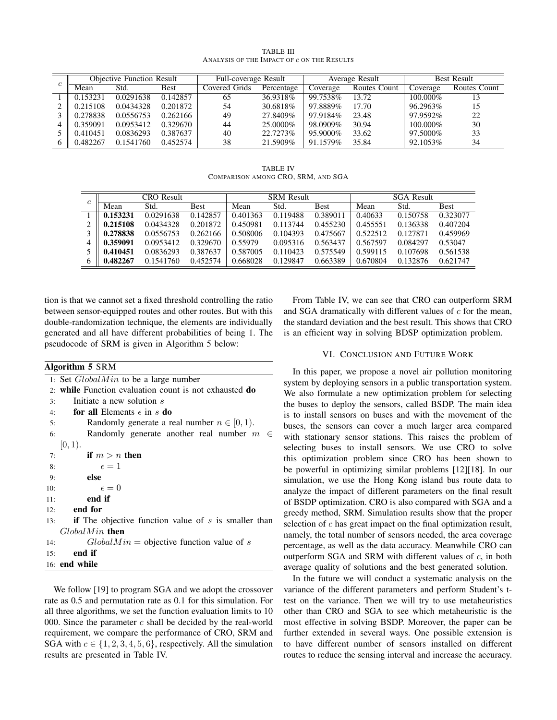|   | <b>Objective Function Result</b> |           |             | Full-coverage Result |            |           | Average Result | <b>Best Result</b> |              |
|---|----------------------------------|-----------|-------------|----------------------|------------|-----------|----------------|--------------------|--------------|
| с | Mean                             | Std.      | <b>Best</b> | Covered Grids        | Percentage | Coverage  | Routes Count   | Coverage           | Routes Count |
|   | 0.153231                         | 0.0291638 | 0.142857    | 65                   | 36.9318\%  | 99.7538%  | 13.72          | 100.000%           | 13           |
|   | 0.215108                         | 0.0434328 | 0.201872    | 54                   | 30.6818\%  | 97.8889%  | 17.70          | 96.2963%           | 15           |
|   | 0.278838                         | 0.0556753 | 0.262166    | 49                   | 27.8409%   | 97.9184\% | 23.48          | 97.9592%           | 22           |
|   | 0.359091                         | 0.0953412 | 0.329670    | 44                   | 25.0000\%  | 98.0909%  | 30.94          | $100.000\%$        | 30           |
|   | 0.410451                         | 0.0836293 | 0.387637    | 40                   | 22.7273\%  | 95.9000%  | 33.62          | 97.5000%           | 33           |
|   | 0.482267                         | 0.1541760 | 0.452574    | 38                   | 21.5909%   | 91.1579\% | 35.84          | 92.1053\%          | 34           |

TABLE III ANALYSIS OF THE IMPACT OF c ON THE RESULTS

TABLE IV COMPARISON AMONG CRO, SRM, AND SGA

|          | <b>CRO</b> Result |             |          | <b>SRM Result</b> |             | <b>SGA Result</b> |          |             |  |
|----------|-------------------|-------------|----------|-------------------|-------------|-------------------|----------|-------------|--|
| Mean     | Std.              | <b>Best</b> | Mean     | Std.              | <b>Best</b> | Mean              | Std.     | <b>Best</b> |  |
| 0.153231 | 0.0291638         | 0.142857    | 0.401363 | 0.119488          | 0.389011    | 0.40633           | 0.150758 | 0.323077    |  |
| 0.215108 | 0.0434328         | 0.201872    | 0.450981 | 0.113744          | 0.455230    | 0.455551          | 0.136338 | 0.407204    |  |
| 0.278838 | 0.0556753         | 0.262166    | 0.508006 | 0.104393          | 0.475667    | 0.522512          | 0.127871 | 0.459969    |  |
| 0.359091 | 0.0953412         | 0.329670    | 0.55979  | 0.095316          | 0.563437    | 0.567597          | 0.084297 | 0.53047     |  |
| 0.410451 | 0.0836293         | 0.387637    | 0.587005 | 0.110423          | 0.575549    | 0.599115          | 0.107698 | 0.561538    |  |
| 0.482267 | 0.1541760         | 0.452574    | 0.668028 | 0.129847          | 0.663389    | 0.670804          | 0.132876 | 0.621747    |  |

tion is that we cannot set a fixed threshold controlling the ratio between sensor-equipped routes and other routes. But with this double-randomization technique, the elements are individually generated and all have different probabilities of being 1. The pseudocode of SRM is given in Algorithm 5 below:

# Algorithm 5 SRM

|     | 1: Set <i>GlobalMin</i> to be a large number                  |
|-----|---------------------------------------------------------------|
|     | 2: while Function evaluation count is not exhausted do        |
| 3:  | Initiate a new solution s                                     |
|     | for all Elements $\epsilon$ in s do<br>4:                     |
| 5:  | Randomly generate a real number $n \in [0,1)$ .               |
| 6:  | Randomly generate another real number $m \in$                 |
|     | $[0, 1)$ .                                                    |
| 7:  | if $m > n$ then                                               |
| 8:  | $\epsilon=1$                                                  |
| 9:  | else                                                          |
| 10: | $\epsilon=0$                                                  |
|     | end if<br>11:                                                 |
|     | $12:$ end for                                                 |
| 13: | <b>if</b> The objective function value of $s$ is smaller than |
|     | <i>GlobalMin</i> then                                         |
| 14: | $GlobalMin =$ objective function value of s                   |
| 15: | end if                                                        |
|     | $16:$ end while                                               |
|     |                                                               |

We follow [19] to program SGA and we adopt the crossover rate as 0.5 and permutation rate as 0.1 for this simulation. For all three algorithms, we set the function evaluation limits to 10 000. Since the parameter  $c$  shall be decided by the real-world requirement, we compare the performance of CRO, SRM and SGA with  $c \in \{1, 2, 3, 4, 5, 6\}$ , respectively. All the simulation results are presented in Table IV.

From Table IV, we can see that CRO can outperform SRM and SGA dramatically with different values of  $c$  for the mean, the standard deviation and the best result. This shows that CRO is an efficient way in solving BDSP optimization problem.

## VI. CONCLUSION AND FUTURE WORK

In this paper, we propose a novel air pollution monitoring system by deploying sensors in a public transportation system. We also formulate a new optimization problem for selecting the buses to deploy the sensors, called BSDP. The main idea is to install sensors on buses and with the movement of the buses, the sensors can cover a much larger area compared with stationary sensor stations. This raises the problem of selecting buses to install sensors. We use CRO to solve this optimization problem since CRO has been shown to be powerful in optimizing similar problems [12][18]. In our simulation, we use the Hong Kong island bus route data to analyze the impact of different parameters on the final result of BSDP optimization. CRO is also compared with SGA and a greedy method, SRM. Simulation results show that the proper selection of  $c$  has great impact on the final optimization result, namely, the total number of sensors needed, the area coverage percentage, as well as the data accuracy. Meanwhile CRO can outperform SGA and SRM with different values of  $c$ , in both average quality of solutions and the best generated solution.

In the future we will conduct a systematic analysis on the variance of the different parameters and perform Student's ttest on the variance. Then we will try to use metaheuristics other than CRO and SGA to see which metaheuristic is the most effective in solving BSDP. Moreover, the paper can be further extended in several ways. One possible extension is to have different number of sensors installed on different routes to reduce the sensing interval and increase the accuracy.